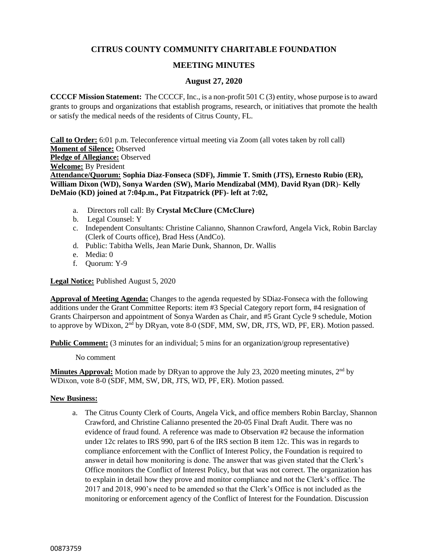# **CITRUS COUNTY COMMUNITY CHARITABLE FOUNDATION**

# **MEETING MINUTES**

## **August 27, 2020**

**CCCCF Mission Statement:** The CCCCF, Inc., is a non-profit 501 C (3) entity, whose purpose is to award grants to groups and organizations that establish programs, research, or initiatives that promote the health or satisfy the medical needs of the residents of Citrus County, FL.

**Call to Order:** 6:01 p.m. Teleconference virtual meeting via Zoom (all votes taken by roll call) **Moment of Silence:** Observed **Pledge of Allegiance:** Observed **Welcome:** By President **Attendance/Quorum: Sophia Diaz-Fonseca (SDF), Jimmie T. Smith (JTS), Ernesto Rubio (ER), William Dixon (WD), Sonya Warden (SW), Mario Mendizabal (MM)**, **David Ryan (DR**)- **Kelly DeMaio (KD) joined at 7:04p.m., Pat Fitzpatrick (PF)- left at 7:02,**

- a. Directors roll call: By **Crystal McClure (CMcClure)**
- b. Legal Counsel: Y
- c. Independent Consultants: Christine Calianno, Shannon Crawford, Angela Vick, Robin Barclay (Clerk of Courts office), Brad Hess (AndCo).
- d. Public: Tabitha Wells, Jean Marie Dunk, Shannon, Dr. Wallis
- e. Media: 0
- f. Quorum: Y-9

### **Legal Notice:** Published August 5, 2020

**Approval of Meeting Agenda:** Changes to the agenda requested by SDiaz-Fonseca with the following additions under the Grant Committee Reports: item #3 Special Category report form, #4 resignation of Grants Chairperson and appointment of Sonya Warden as Chair, and #5 Grant Cycle 9 schedule, Motion to approve by WDixon, 2<sup>nd</sup> by DRyan, vote 8-0 (SDF, MM, SW, DR, JTS, WD, PF, ER). Motion passed.

**Public Comment:** (3 minutes for an individual; 5 mins for an organization/group representative)

No comment

**Minutes Approval:** Motion made by DRyan to approve the July 23, 2020 meeting minutes, 2<sup>nd</sup> by WDixon, vote 8-0 (SDF, MM, SW, DR, JTS, WD, PF, ER). Motion passed.

### **New Business:**

a. The Citrus County Clerk of Courts, Angela Vick, and office members Robin Barclay, Shannon Crawford, and Christine Calianno presented the 20-05 Final Draft Audit. There was no evidence of fraud found. A reference was made to Observation #2 because the information under 12c relates to IRS 990, part 6 of the IRS section B item 12c. This was in regards to compliance enforcement with the Conflict of Interest Policy, the Foundation is required to answer in detail how monitoring is done. The answer that was given stated that the Clerk's Office monitors the Conflict of Interest Policy, but that was not correct. The organization has to explain in detail how they prove and monitor compliance and not the Clerk's office. The 2017 and 2018, 990's need to be amended so that the Clerk's Office is not included as the monitoring or enforcement agency of the Conflict of Interest for the Foundation. Discussion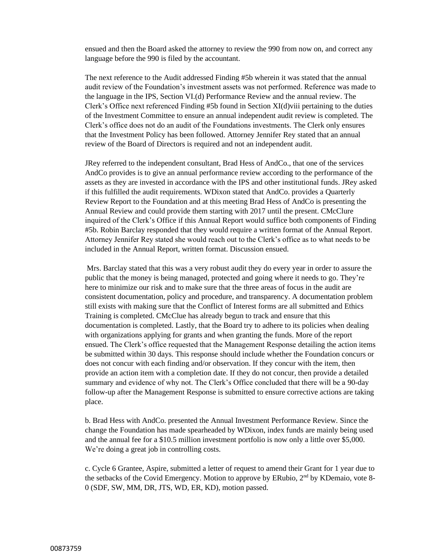ensued and then the Board asked the attorney to review the 990 from now on, and correct any language before the 990 is filed by the accountant.

The next reference to the Audit addressed Finding #5b wherein it was stated that the annual audit review of the Foundation's investment assets was not performed. Reference was made to the language in the IPS, Section VI.(d) Performance Review and the annual review. The Clerk's Office next referenced Finding #5b found in Section XI(d)viii pertaining to the duties of the Investment Committee to ensure an annual independent audit review is completed. The Clerk's office does not do an audit of the Foundations investments. The Clerk only ensures that the Investment Policy has been followed. Attorney Jennifer Rey stated that an annual review of the Board of Directors is required and not an independent audit.

JRey referred to the independent consultant, Brad Hess of AndCo., that one of the services AndCo provides is to give an annual performance review according to the performance of the assets as they are invested in accordance with the IPS and other institutional funds. JRey asked if this fulfilled the audit requirements. WDixon stated that AndCo. provides a Quarterly Review Report to the Foundation and at this meeting Brad Hess of AndCo is presenting the Annual Review and could provide them starting with 2017 until the present. CMcClure inquired of the Clerk's Office if this Annual Report would suffice both components of Finding #5b. Robin Barclay responded that they would require a written format of the Annual Report. Attorney Jennifer Rey stated she would reach out to the Clerk's office as to what needs to be included in the Annual Report, written format. Discussion ensued.

Mrs. Barclay stated that this was a very robust audit they do every year in order to assure the public that the money is being managed, protected and going where it needs to go. They're here to minimize our risk and to make sure that the three areas of focus in the audit are consistent documentation, policy and procedure, and transparency. A documentation problem still exists with making sure that the Conflict of Interest forms are all submitted and Ethics Training is completed. CMcClue has already begun to track and ensure that this documentation is completed. Lastly, that the Board try to adhere to its policies when dealing with organizations applying for grants and when granting the funds. More of the report ensued. The Clerk's office requested that the Management Response detailing the action items be submitted within 30 days. This response should include whether the Foundation concurs or does not concur with each finding and/or observation. If they concur with the item, then provide an action item with a completion date. If they do not concur, then provide a detailed summary and evidence of why not. The Clerk's Office concluded that there will be a 90-day follow-up after the Management Response is submitted to ensure corrective actions are taking place.

b. Brad Hess with AndCo. presented the Annual Investment Performance Review. Since the change the Foundation has made spearheaded by WDixon, index funds are mainly being used and the annual fee for a \$10.5 million investment portfolio is now only a little over \$5,000. We're doing a great job in controlling costs.

c. Cycle 6 Grantee, Aspire, submitted a letter of request to amend their Grant for 1 year due to the setbacks of the Covid Emergency. Motion to approve by ERubio, 2nd by KDemaio, vote 8- 0 (SDF, SW, MM, DR, JTS, WD, ER, KD), motion passed.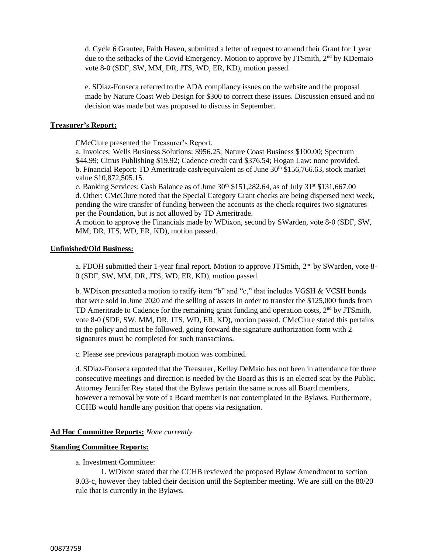d. Cycle 6 Grantee, Faith Haven, submitted a letter of request to amend their Grant for 1 year due to the setbacks of the Covid Emergency. Motion to approve by JTSmith, 2<sup>nd</sup> by KDemaio vote 8-0 (SDF, SW, MM, DR, JTS, WD, ER, KD), motion passed.

e. SDiaz-Fonseca referred to the ADA compliancy issues on the website and the proposal made by Nature Coast Web Design for \$300 to correct these issues. Discussion ensued and no decision was made but was proposed to discuss in September.

### **Treasurer's Report:**

CMcClure presented the Treasurer's Report.

a. Invoices: Wells Business Solutions: \$956.25; Nature Coast Business \$100.00; Spectrum \$44.99; Citrus Publishing \$19.92; Cadence credit card \$376.54; Hogan Law: none provided. b. Financial Report: TD Ameritrade cash/equivalent as of June  $30<sup>th</sup>$  \$156,766.63, stock market value \$10,872,505.15.

c. Banking Services: Cash Balance as of June  $30<sup>th</sup>$  \$151,282.64, as of July  $31<sup>st</sup>$  \$131,667.00 d. Other: CMcClure noted that the Special Category Grant checks are being dispersed next week, pending the wire transfer of funding between the accounts as the check requires two signatures per the Foundation, but is not allowed by TD Ameritrade.

A motion to approve the Financials made by WDixon, second by SWarden, vote 8-0 (SDF, SW, MM, DR, JTS, WD, ER, KD), motion passed.

### **Unfinished/Old Business:**

a. FDOH submitted their 1-year final report. Motion to approve JTSmith, 2<sup>nd</sup> by SWarden, vote 8-0 (SDF, SW, MM, DR, JTS, WD, ER, KD), motion passed.

b. WDixon presented a motion to ratify item "b" and "c," that includes VGSH & VCSH bonds that were sold in June 2020 and the selling of assets in order to transfer the \$125,000 funds from TD Ameritrade to Cadence for the remaining grant funding and operation costs,  $2<sup>nd</sup>$  by JTSmith, vote 8-0 (SDF, SW, MM, DR, JTS, WD, ER, KD), motion passed. CMcClure stated this pertains to the policy and must be followed, going forward the signature authorization form with 2 signatures must be completed for such transactions.

c. Please see previous paragraph motion was combined.

d. SDiaz-Fonseca reported that the Treasurer, Kelley DeMaio has not been in attendance for three consecutive meetings and direction is needed by the Board as this is an elected seat by the Public. Attorney Jennifer Rey stated that the Bylaws pertain the same across all Board members, however a removal by vote of a Board member is not contemplated in the Bylaws. Furthermore, CCHB would handle any position that opens via resignation.

### **Ad Hoc Committee Reports:** *None currently*

### **Standing Committee Reports:**

a. Investment Committee:

1. WDixon stated that the CCHB reviewed the proposed Bylaw Amendment to section 9.03-c, however they tabled their decision until the September meeting. We are still on the 80/20 rule that is currently in the Bylaws.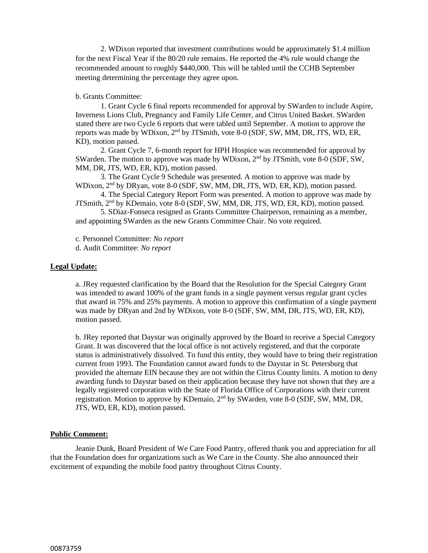2. WDixon reported that investment contributions would be approximately \$1.4 million for the next Fiscal Year if the 80/20 rule remains. He reported the 4% rule would change the recommended amount to roughly \$440,000. This will be tabled until the CCHB September meeting determining the percentage they agree upon.

### b. Grants Committee:

1. Grant Cycle 6 final reports recommended for approval by SWarden to include Aspire, Inverness Lions Club, Pregnancy and Family Life Center, and Citrus United Basket. SWarden stated there are two Cycle 6 reports that were tabled until September. A motion to approve the reports was made by WDixon, 2nd by JTSmith, vote 8-0 (SDF, SW, MM, DR, JTS, WD, ER, KD), motion passed.

2. Grant Cycle 7, 6-month report for HPH Hospice was recommended for approval by SWarden. The motion to approve was made by WDixon, 2<sup>nd</sup> by JTSmith, vote 8-0 (SDF, SW, MM, DR, JTS, WD, ER, KD), motion passed.

3. The Grant Cycle 9 Schedule was presented. A motion to approve was made by WDixon, 2<sup>nd</sup> by DRyan, vote 8-0 (SDF, SW, MM, DR, JTS, WD, ER, KD), motion passed.

4. The Special Category Report Form was presented. A motion to approve was made by JTSmith, 2<sup>nd</sup> by KDemaio, vote 8-0 (SDF, SW, MM, DR, JTS, WD, ER, KD), motion passed.

5. SDiaz-Fonseca resigned as Grants Committee Chairperson, remaining as a member, and appointing SWarden as the new Grants Committee Chair. No vote required.

c. Personnel Committee: *No report* d. Audit Committee: *No report*

#### **Legal Update:**

a. JRey requested clarification by the Board that the Resolution for the Special Category Grant was intended to award 100% of the grant funds in a single payment versus regular grant cycles that award in 75% and 25% payments. A motion to approve this confirmation of a single payment was made by DRyan and 2nd by WDixon, vote 8-0 (SDF, SW, MM, DR, JTS, WD, ER, KD), motion passed.

b. JRey reported that Daystar was originally approved by the Board to receive a Special Category Grant. It was discovered that the local office is not actively registered, and that the corporate status is administratively dissolved. To fund this entity, they would have to bring their registration current from 1993. The Foundation cannot award funds to the Daystar in St. Petersburg that provided the alternate EIN because they are not within the Citrus County limits. A motion to deny awarding funds to Daystar based on their application because they have not shown that they are a legally registered corporation with the State of Florida Office of Corporations with their current registration. Motion to approve by KDemaio, 2nd by SWarden, vote 8-0 (SDF, SW, MM, DR, JTS, WD, ER, KD), motion passed.

#### **Public Comment:**

Jeanie Dunk, Board President of We Care Food Pantry, offered thank you and appreciation for all that the Foundation does for organizations such as We Care in the County. She also announced their excitement of expanding the mobile food pantry throughout Citrus County.